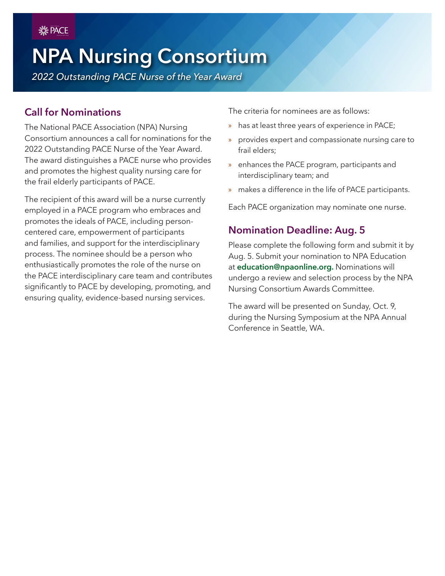PACE **UUV** ASSOCIATION

# **NPA Nursing Consortium**

*2022 Outstanding PACE Nurse of the Year Award*

## **Call for Nominations**

The National PACE Association (NPA) Nursing Consortium announces a call for nominations for the 2022 Outstanding PACE Nurse of the Year Award. The award distinguishes a PACE nurse who provides and promotes the highest quality nursing care for the frail elderly participants of PACE.

The recipient of this award will be a nurse currently employed in a PACE program who embraces and promotes the ideals of PACE, including personcentered care, empowerment of participants and families, and support for the interdisciplinary process. The nominee should be a person who enthusiastically promotes the role of the nurse on the PACE interdisciplinary care team and contributes significantly to PACE by developing, promoting, and ensuring quality, evidence-based nursing services.

The criteria for nominees are as follows:

- » has at least three years of experience in PACE;
- » provides expert and compassionate nursing care to frail elders;
- » enhances the PACE program, participants and interdisciplinary team; and
- » makes a difference in the life of PACE participants.

Each PACE organization may nominate one nurse.

#### **Nomination Deadline: Aug. 5**

Please complete the following form and submit it by Aug. 5. Submit your nomination to NPA Education at **[education@npaonline.org](mailto:education%40npaonline.org?subject=).** Nominations will undergo a review and selection process by the NPA Nursing Consortium Awards Committee.

The award will be presented on Sunday, Oct. 9, during the Nursing Symposium at the NPA Annual Conference in Seattle, WA.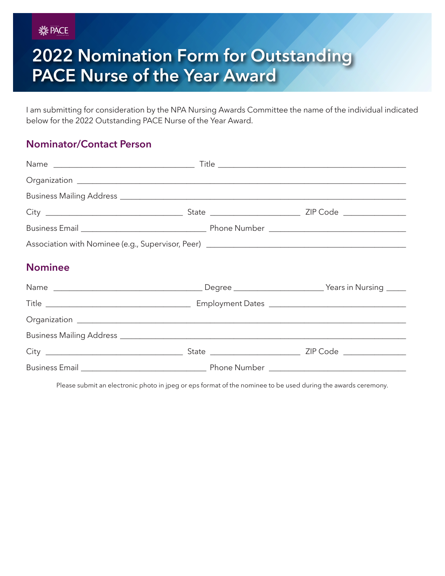PACE **UUV** ASSOCIATION

# **2022 Nomination Form for Outstanding PACE Nurse of the Year Award**

I am submitting for consideration by the NPA Nursing Awards Committee the name of the individual indicated below for the 2022 Outstanding PACE Nurse of the Year Award.

## **Nominator/Contact Person**

| Association with Nominee (e.g., Supervisor, Peer) _______________________________ |  |  |  |
|-----------------------------------------------------------------------------------|--|--|--|
| <b>Nominee</b>                                                                    |  |  |  |
|                                                                                   |  |  |  |
|                                                                                   |  |  |  |
|                                                                                   |  |  |  |
|                                                                                   |  |  |  |
|                                                                                   |  |  |  |
|                                                                                   |  |  |  |

Please submit an electronic photo in jpeg or eps format of the nominee to be used during the awards ceremony.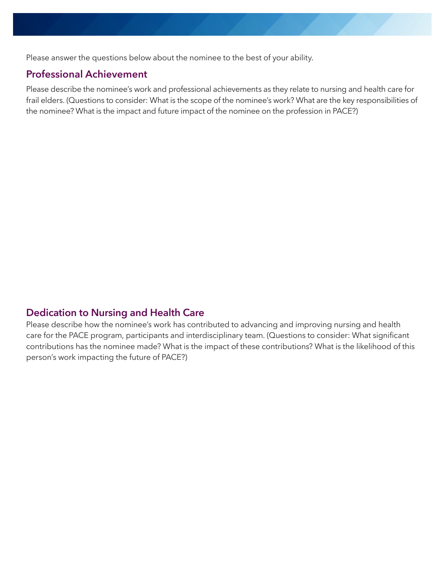Please answer the questions below about the nominee to the best of your ability.

#### **Professional Achievement**

Please describe the nominee's work and professional achievements as they relate to nursing and health care for frail elders. (Questions to consider: What is the scope of the nominee's work? What are the key responsibilities of the nominee? What is the impact and future impact of the nominee on the profession in PACE?)

#### **Dedication to Nursing and Health Care**

Please describe how the nominee's work has contributed to advancing and improving nursing and health care for the PACE program, participants and interdisciplinary team. (Questions to consider: What significant contributions has the nominee made? What is the impact of these contributions? What is the likelihood of this person's work impacting the future of PACE?)